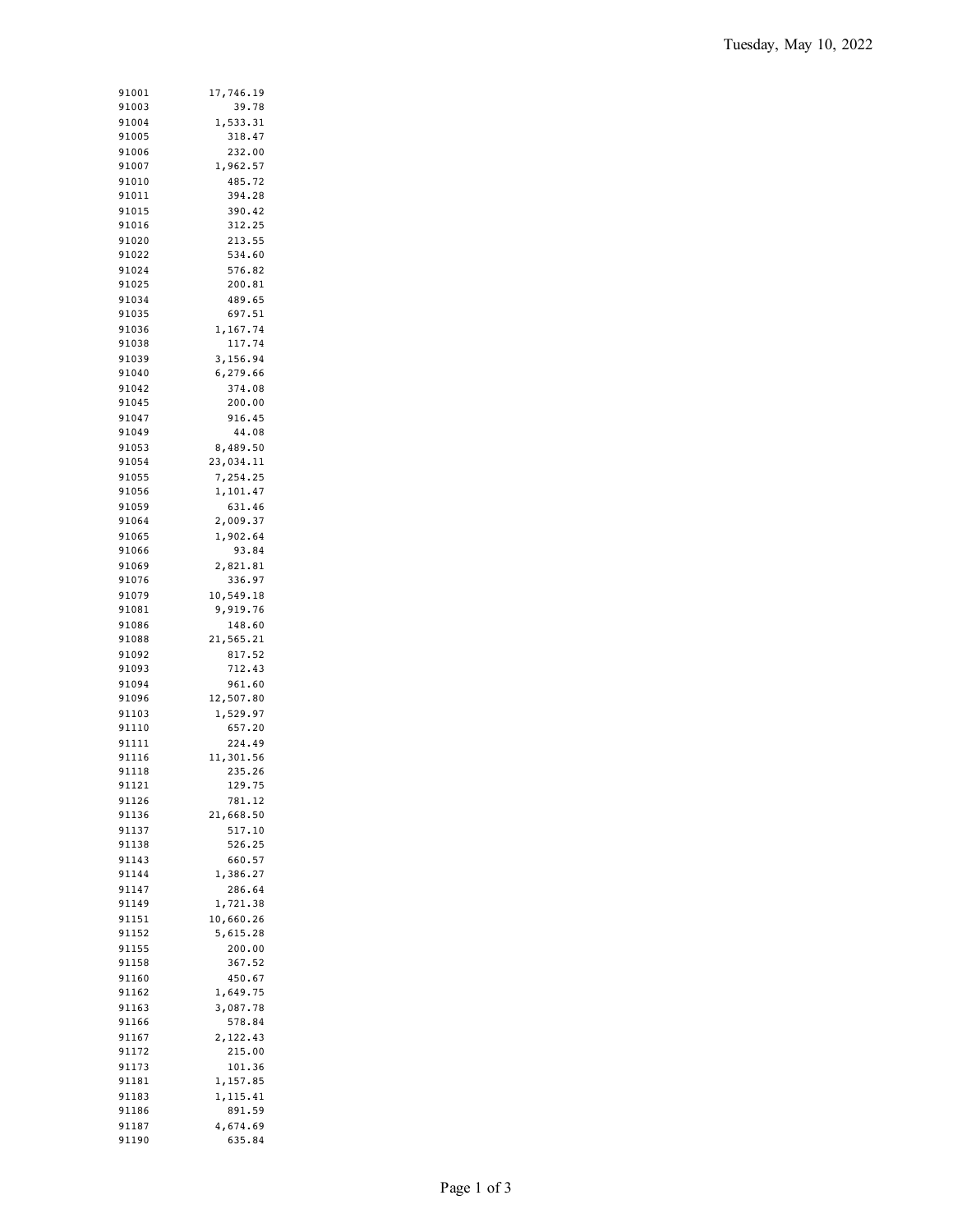| 91001 | 17,746.19 |
|-------|-----------|
| 91003 | 39.78     |
| 91004 | 1,533.31  |
| 91005 | 318.47    |
|       |           |
| 91006 | 232.00    |
| 91007 | 1,962.57  |
| 91010 | 485.72    |
| 91011 | 394.28    |
| 91015 | 390.42    |
| 91016 | 312.25    |
|       |           |
| 91020 | 213.55    |
| 91022 | 534.60    |
| 91024 | 576.82    |
| 91025 | 200.81    |
| 91034 | 489.65    |
| 91035 | 697.51    |
|       |           |
| 91036 | 1,167.74  |
| 91038 | 117.74    |
| 91039 | 3,156.94  |
| 91040 | 6,279.66  |
| 91042 | 374.08    |
| 91045 | 200.00    |
|       |           |
| 91047 | 916.45    |
| 91049 | 44.08     |
| 91053 | 8,489.50  |
| 91054 | 23,034.11 |
| 91055 | 7,254.25  |
|       |           |
| 91056 | 1,101.47  |
| 91059 | 631.46    |
| 91064 | 2,009.37  |
| 91065 | 1,902.64  |
| 91066 | 93.84     |
| 91069 | 2,821.81  |
|       |           |
| 91076 | 336.97    |
| 91079 | 10,549.18 |
| 91081 | 9,919.76  |
| 91086 | 148.60    |
| 91088 | 21,565.21 |
| 91092 | 817.52    |
|       |           |
| 91093 | 712.43    |
| 91094 | 961.60    |
| 91096 | 12,507.80 |
| 91103 | 1,529.97  |
| 91110 | 657.20    |
|       | 224.49    |
| 91111 |           |
| 91116 | 11,301.56 |
| 91118 | 235.26    |
| 91121 | 129.75    |
| 91126 | 781.12    |
| 91136 | 21,668.50 |
| 91137 | 517.10    |
|       |           |
| 91138 | 526.25    |
| 91143 | 660.57    |
| 91144 | 1,386.27  |
| 91147 | 286.64    |
| 91149 | 1,721.38  |
| 91151 | 10,660.26 |
|       |           |
| 91152 | 5,615.28  |
| 91155 | 200.00    |
| 91158 | 367.52    |
| 91160 | 450.67    |
| 91162 | 1,649.75  |
|       |           |
| 91163 | 3,087.78  |
| 91166 | 578.84    |
| 91167 | 2,122.43  |
| 91172 | 215.00    |
| 91173 | 101.36    |
|       |           |
| 91181 | 1,157.85  |
| 91183 | 1,115.41  |
| 91186 | 891.59    |
| 91187 | 4,674.69  |
| 91190 | 635.84    |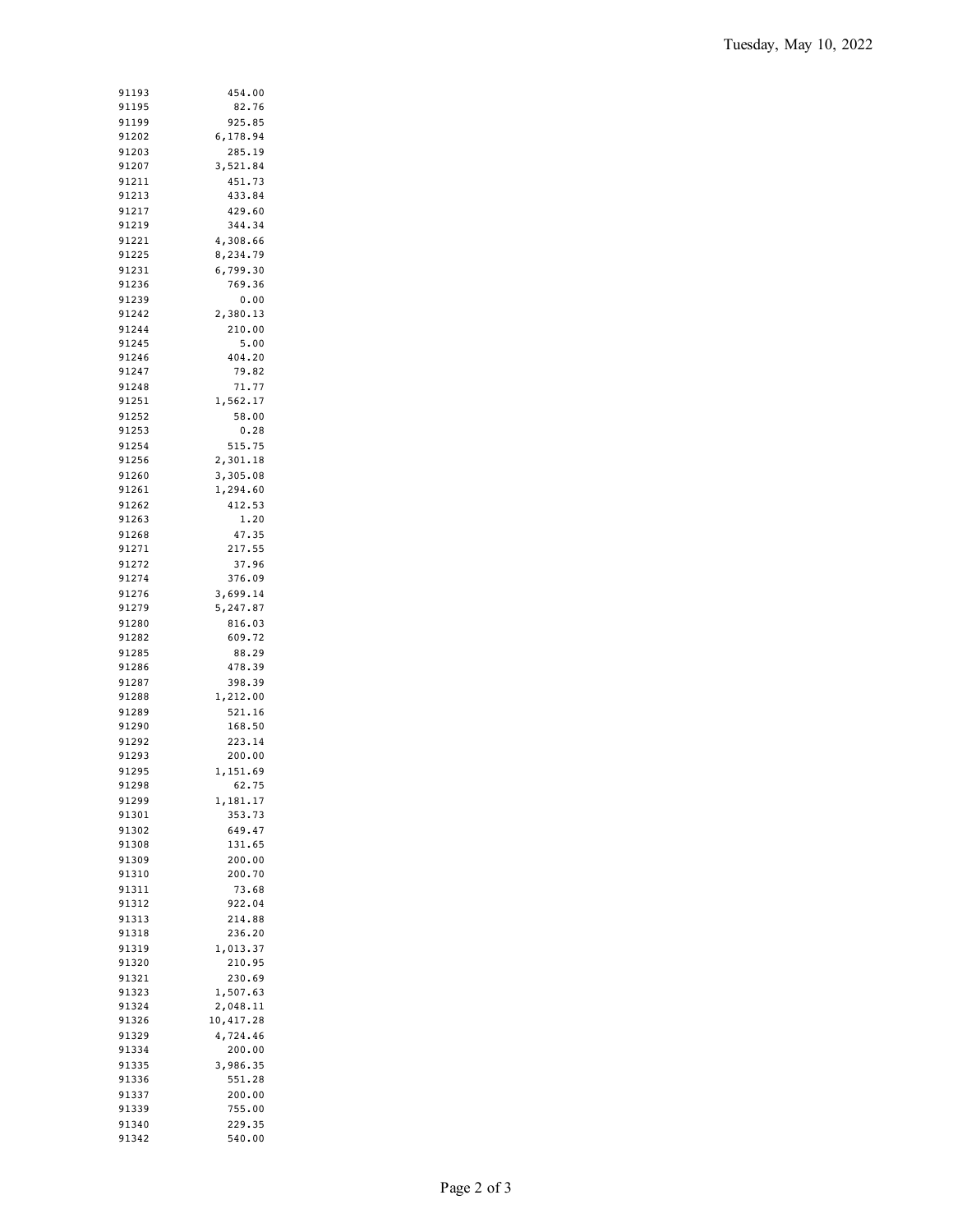| 91193 | 454.00    |
|-------|-----------|
| 91195 | 82.76     |
| 91199 | 925.85    |
|       |           |
| 91202 | 6,178.94  |
| 91203 | 285.19    |
| 91207 | 3,521.84  |
| 91211 | 451.73    |
| 91213 | 433.84    |
|       |           |
| 91217 | 429.60    |
| 91219 | 344.34    |
| 91221 | 4,308.66  |
| 91225 | 8,234.79  |
| 91231 | 6,799.30  |
| 91236 | 769.36    |
|       |           |
| 91239 | 0.00      |
| 91242 | 2,380.13  |
| 91244 | 210.00    |
| 91245 | 5.00      |
| 91246 | 404.20    |
| 91247 | 79.82     |
| 91248 | 71.77     |
|       |           |
| 91251 | 1,562.17  |
| 91252 | 58.00     |
| 91253 | 0.28      |
| 91254 | 515.75    |
| 91256 | 2,301.18  |
|       |           |
| 91260 | 3,305.08  |
| 91261 | 1,294.60  |
| 91262 | 412.53    |
| 91263 | 1.20      |
| 91268 | 47.35     |
| 91271 | 217.55    |
|       |           |
| 91272 | 37.96     |
| 91274 | 376.09    |
| 91276 | 3,699.14  |
| 91279 | 5,247.87  |
| 91280 | 816.03    |
|       |           |
| 91282 | 609.72    |
| 91285 | 88.29     |
| 91286 | 478.39    |
| 91287 | 398.39    |
| 91288 | 1,212.00  |
| 91289 |           |
|       | 521.16    |
| 91290 | 168.50    |
| 91292 | 223.14    |
| 91293 | 200.00    |
| 91295 | 1,151.69  |
| 91298 | 62.75     |
|       |           |
| 91299 | 1,181.17  |
| 91301 | 353.73    |
| 91302 | 649.47    |
| 91308 | 131.65    |
| 91309 | 200.00    |
| 91310 | 200.70    |
|       |           |
| 91311 | 73.68     |
| 91312 | 922.04    |
| 91313 | 214.88    |
| 91318 | 236.20    |
| 91319 | 1,013.37  |
|       |           |
| 91320 | 210.95    |
| 91321 | 230.69    |
| 91323 | 1,507.63  |
| 91324 | 2,048.11  |
| 91326 | 10,417.28 |
|       |           |
| 91329 | 4,724.46  |
| 91334 | 200.00    |
| 91335 | 3,986.35  |
| 91336 | 551.28    |
| 91337 | 200.00    |
| 91339 | 755.00    |
|       |           |
| 91340 | 229.35    |
| 91342 | 540.00    |